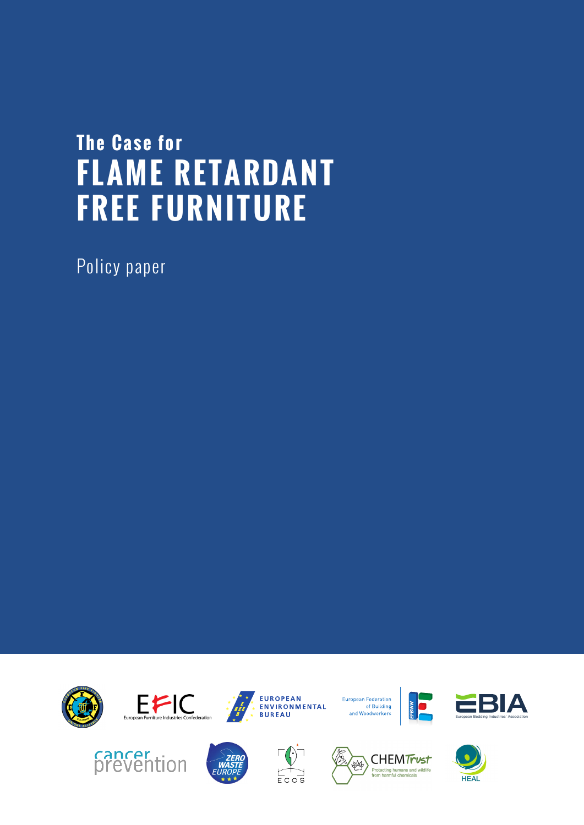# **The Case for FLAME RETARDANT FREE FURNITURE**

Policy paper









EUROPEAN<br>ENVIRONMENTAL

**BUREAU** 



pog

CHEMTrust

Protecting humans and wildlife









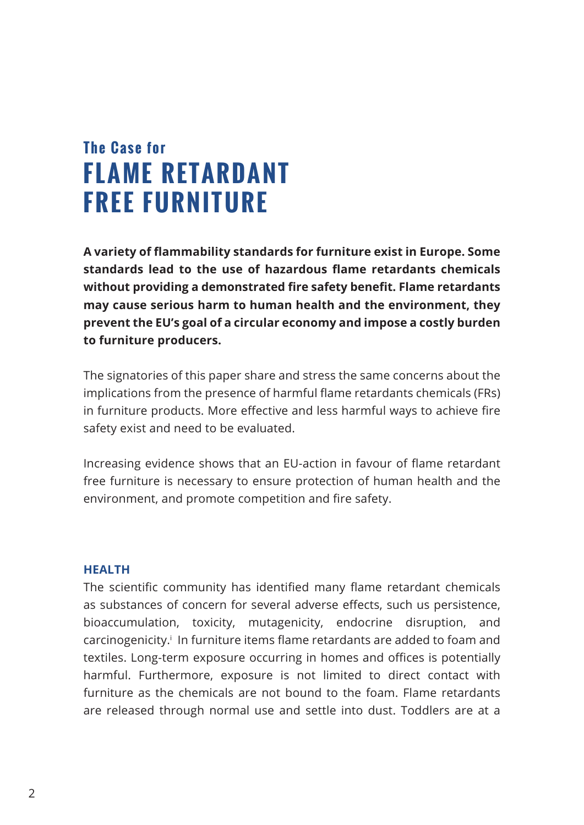## **The Case for FLAME RETARDANT FREE FURNITURE**

**A variety of flammability standards for furniture exist in Europe. Some standards lead to the use of hazardous flame retardants chemicals without providing a demonstrated fire safety benefit. Flame retardants may cause serious harm to human health and the environment, they prevent the EU's goal of a circular economy and impose a costly burden to furniture producers.** 

The signatories of this paper share and stress the same concerns about the implications from the presence of harmful flame retardants chemicals (FRs) in furniture products. More effective and less harmful ways to achieve fire safety exist and need to be evaluated.

Increasing evidence shows that an EU-action in favour of flame retardant free furniture is necessary to ensure protection of human health and the environment, and promote competition and fire safety.

## **HEALTH**

The scientific community has identified many flame retardant chemicals as substances of concern for several adverse effects, such us persistence, bioaccumulation, toxicity, mutagenicity, endocrine disruption, and carcinogenicity.<sup>i</sup> In furniture items flame retardants are added to foam and textiles. Long-term exposure occurring in homes and offices is potentially harmful. Furthermore, exposure is not limited to direct contact with furniture as the chemicals are not bound to the foam. Flame retardants are released through normal use and settle into dust. Toddlers are at a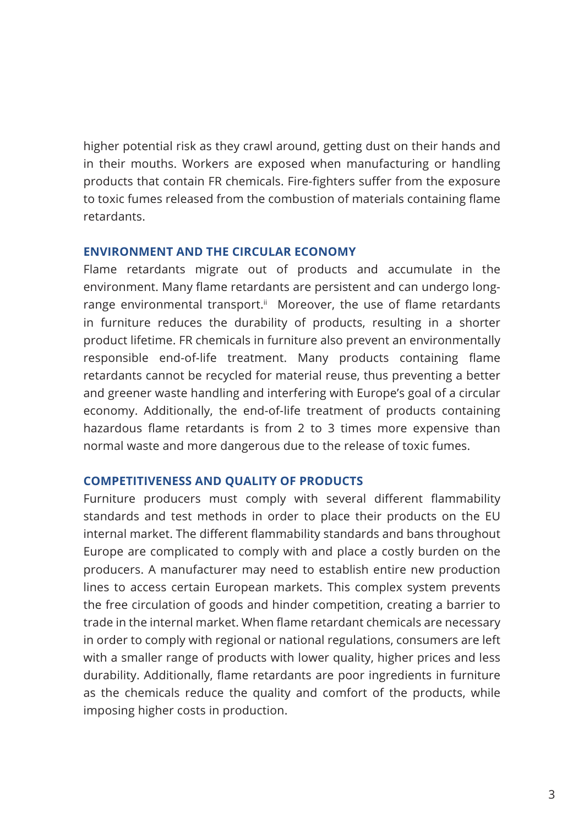higher potential risk as they crawl around, getting dust on their hands and in their mouths. Workers are exposed when manufacturing or handling products that contain FR chemicals. Fire-fighters suffer from the exposure to toxic fumes released from the combustion of materials containing flame retardants.

## **ENVIRONMENT AND THE CIRCULAR ECONOMY**

Flame retardants migrate out of products and accumulate in the environment. Many flame retardants are persistent and can undergo longrange environmental transport.<sup>ii</sup> Moreover, the use of flame retardants in furniture reduces the durability of products, resulting in a shorter product lifetime. FR chemicals in furniture also prevent an environmentally responsible end-of-life treatment. Many products containing flame retardants cannot be recycled for material reuse, thus preventing a better and greener waste handling and interfering with Europe's goal of a circular economy. Additionally, the end-of-life treatment of products containing hazardous flame retardants is from 2 to 3 times more expensive than normal waste and more dangerous due to the release of toxic fumes.

### **COMPETITIVENESS AND QUALITY OF PRODUCTS**

Furniture producers must comply with several different flammability standards and test methods in order to place their products on the EU internal market. The different flammability standards and bans throughout Europe are complicated to comply with and place a costly burden on the producers. A manufacturer may need to establish entire new production lines to access certain European markets. This complex system prevents the free circulation of goods and hinder competition, creating a barrier to trade in the internal market. When flame retardant chemicals are necessary in order to comply with regional or national regulations, consumers are left with a smaller range of products with lower quality, higher prices and less durability. Additionally, flame retardants are poor ingredients in furniture as the chemicals reduce the quality and comfort of the products, while imposing higher costs in production.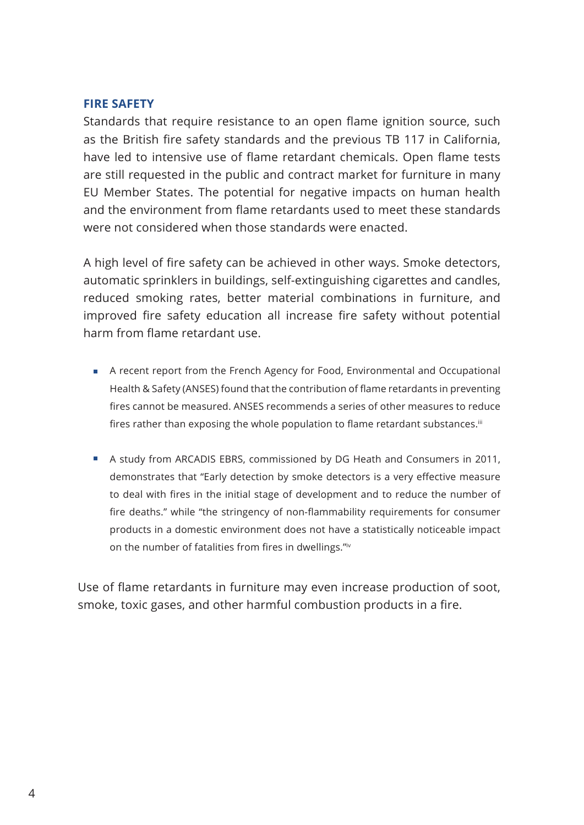## **FIRE SAFETY**

Standards that require resistance to an open flame ignition source, such as the British fire safety standards and the previous TB 117 in California, have led to intensive use of flame retardant chemicals. Open flame tests are still requested in the public and contract market for furniture in many EU Member States. The potential for negative impacts on human health and the environment from flame retardants used to meet these standards were not considered when those standards were enacted.

A high level of fire safety can be achieved in other ways. Smoke detectors, automatic sprinklers in buildings, self-extinguishing cigarettes and candles, reduced smoking rates, better material combinations in furniture, and improved fire safety education all increase fire safety without potential harm from flame retardant use.

- A recent report from the French Agency for Food, Environmental and Occupational Health & Safety (ANSES) found that the contribution of flame retardants in preventing fires cannot be measured. ANSES recommends a series of other measures to reduce fires rather than exposing the whole population to flame retardant substances.<sup>iii</sup>
- A study from ARCADIS EBRS, commissioned by DG Heath and Consumers in 2011, demonstrates that "Early detection by smoke detectors is a very effective measure to deal with fires in the initial stage of development and to reduce the number of fire deaths." while "the stringency of non-flammability requirements for consumer products in a domestic environment does not have a statistically noticeable impact on the number of fatalities from fires in dwellings."iv

Use of flame retardants in furniture may even increase production of soot, smoke, toxic gases, and other harmful combustion products in a fire.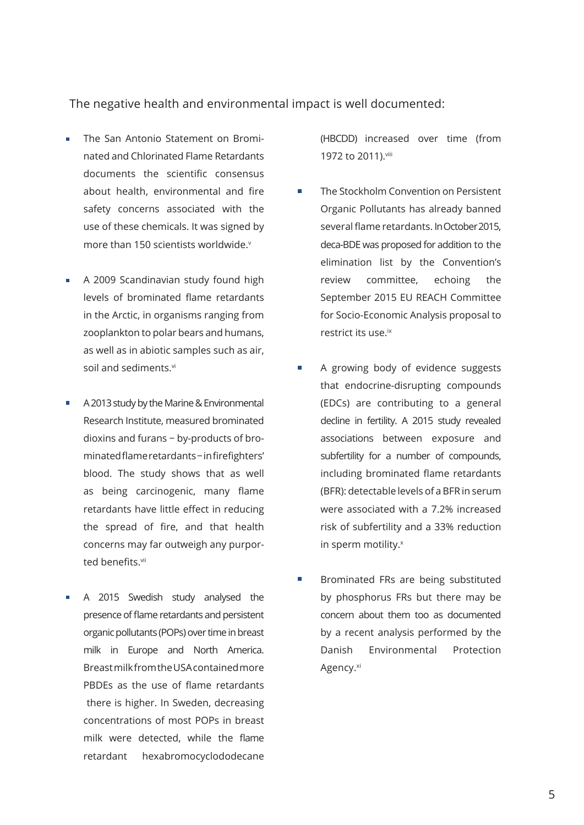The negative health and environmental impact is well documented:

- The San Antonio Statement on Bromi- $\overline{\phantom{a}}$ nated and Chlorinated Flame Retardants documents the scientific consensus about health, environmental and fire safety concerns associated with the use of these chemicals. It was signed by more than 150 scientists worldwide.<sup>v</sup>
- A 2009 Scandinavian study found high levels of brominated flame retardants in the Arctic, in organisms ranging from zooplankton to polar bears and humans, as well as in abiotic samples such as air, soil and sediments.vi
- A 2013 study by the Marine & Environmental п Research Institute, measured brominated dioxins and furans − by-products of brominated flame retardants − in firefighters' blood. The study shows that as well as being carcinogenic, many flame retardants have little effect in reducing the spread of fire, and that health concerns may far outweigh any purported benefits.vii
- A 2015 Swedish study analysed the presence of flame retardants and persistent organic pollutants (POPs) over time in breast milk in Europe and North America. Breast milk from the USA contained more PBDEs as the use of flame retardants there is higher. In Sweden, decreasing concentrations of most POPs in breast milk were detected, while the flame retardant hexabromocyclododecane

(HBCDD) increased over time (from 1972 to 2011).viii

- The Stockholm Convention on Persistent  $\blacksquare$ Organic Pollutants has already banned several flame retardants. In October 2015, deca-BDE was proposed for addition to the elimination list by the Convention's review committee, echoing the September 2015 EU REACH Committee for Socio-Economic Analysis proposal to restrict its use.ix
- A growing body of evidence suggests ÷ that endocrine-disrupting compounds (EDCs) are contributing to a general decline in fertility. A 2015 study revealed associations between exposure and subfertility for a number of compounds, including brominated flame retardants (BFR): detectable levels of a BFR in serum were associated with a 7.2% increased risk of subfertility and a 33% reduction in sperm motility.<sup>x</sup>
- $\blacksquare$ Brominated FRs are being substituted by phosphorus FRs but there may be concern about them too as documented by a recent analysis performed by the Danish Environmental Protection Agency.<sup>xi</sup>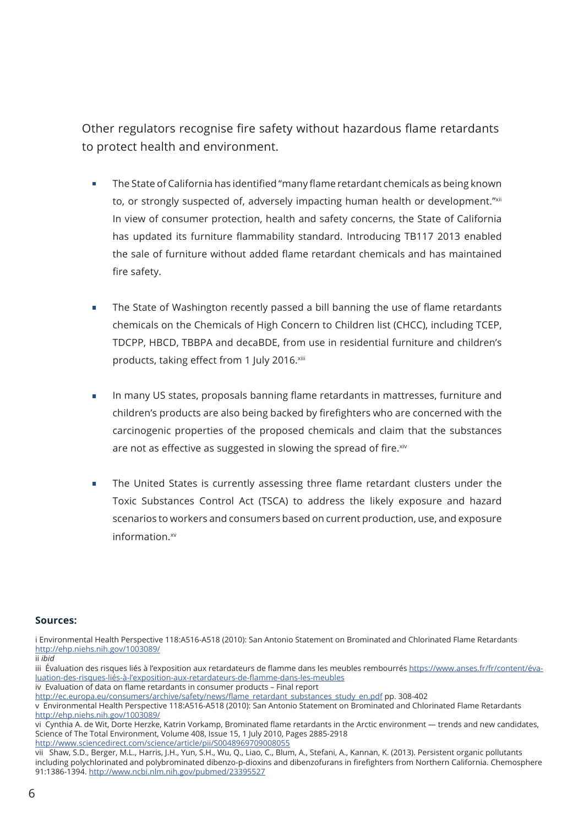Other regulators recognise fire safety without hazardous flame retardants to protect health and environment.

- The State of California has identified "many flame retardant chemicals as being known to, or strongly suspected of, adversely impacting human health or development."xii In view of consumer protection, health and safety concerns, the State of California has updated its furniture flammability standard. Introducing TB117 2013 enabled the sale of furniture without added flame retardant chemicals and has maintained fire safety.
- The State of Washington recently passed a bill banning the use of flame retardants chemicals on the Chemicals of High Concern to Children list (CHCC), including TCEP, TDCPP, HBCD, TBBPA and decaBDE, from use in residential furniture and children's products, taking effect from 1 July 2016.xiii
- In many US states, proposals banning flame retardants in mattresses, furniture and children's products are also being backed by firefighters who are concerned with the carcinogenic properties of the proposed chemicals and claim that the substances are not as effective as suggested in slowing the spread of fire. $x<sup>i</sup>y$
- The United States is currently assessing three flame retardant clusters under the Toxic Substances Control Act (TSCA) to address the likely exposure and hazard scenarios to workers and consumers based on current production, use, and exposure  $information.*$

#### **Sources:**

i Environmental Health Perspective 118:A516-A518 (2010): San Antonio Statement on Brominated and Chlorinated Flame Retardants http://ehp.niehs.nih.gov/1003089/

ii *ibid*

iii Évaluation des risques liés à l'exposition aux retardateurs de flamme dans les meubles rembourrés https://www.anses.fr/fr/content/évaluation-des-risques-liés-à-l'exposition-aux-retardateurs-de-flamme-dans-les-meubles

iv Evaluation of data on flame retardants in consumer products – Final report

http://ec.europa.eu/consumers/archive/safety/news/flame\_retardant\_substances\_study\_en.pdf pp. 308-402

v Environmental Health Perspective 118:A516-A518 (2010): San Antonio Statement on Brominated and Chlorinated Flame Retardants http://ehp.niehs.nih.gov/1003089/

vi Cynthia A. de Wit, Dorte Herzke, Katrin Vorkamp, Brominated flame retardants in the Arctic environment — trends and new candidates, Science of The Total Environment, Volume 408, Issue 15, 1 July 2010, Pages 2885-2918 http://www.sciencedirect.com/science/article/pii/S0048969709008055

vii Shaw, S.D., Berger, M.L., Harris, J.H., Yun, S.H., Wu, Q., Liao, C., Blum, A., Stefani, A., Kannan, K. (2013). Persistent organic pollutants including polychlorinated and polybrominated dibenzo-p-dioxins and dibenzofurans in firefighters from Northern California. Chemosphere 91:1386-1394. http://www.ncbi.nlm.nih.gov/pubmed/23395527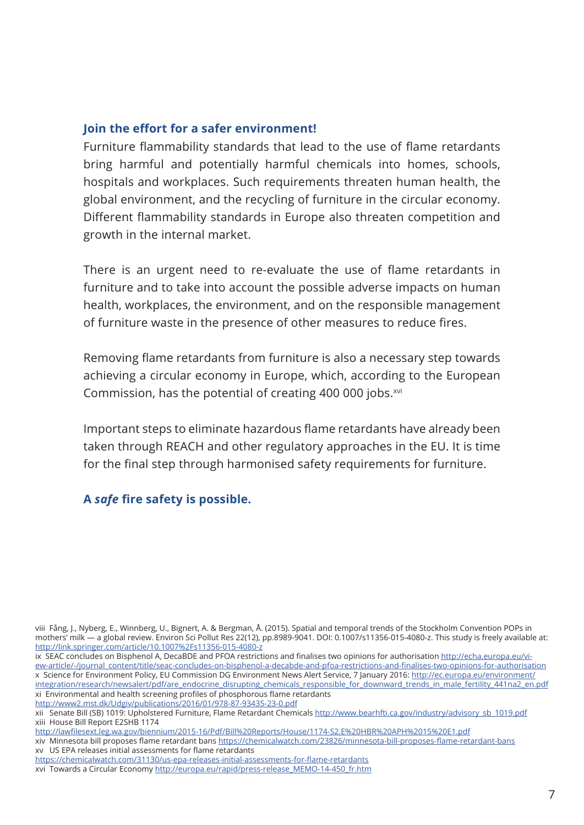## **Join the effort for a safer environment!**

Furniture flammability standards that lead to the use of flame retardants bring harmful and potentially harmful chemicals into homes, schools, hospitals and workplaces. Such requirements threaten human health, the global environment, and the recycling of furniture in the circular economy. Different flammability standards in Europe also threaten competition and growth in the internal market.

There is an urgent need to re-evaluate the use of flame retardants in furniture and to take into account the possible adverse impacts on human health, workplaces, the environment, and on the responsible management of furniture waste in the presence of other measures to reduce fires.

Removing flame retardants from furniture is also a necessary step towards achieving a circular economy in Europe, which, according to the European Commission, has the potential of creating 400 000 jobs.<sup>xvi</sup>

Important steps to eliminate hazardous flame retardants have already been taken through REACH and other regulatory approaches in the EU. It is time for the final step through harmonised safety requirements for furniture.

## **A** *safe* **fire safety is possible.**

```
http://www2.mst.dk/Udgiv/publications/2016/01/978-87-93435-23-0.pdf
```
viii Fång, J., Nyberg, E., Winnberg, U., Bignert, A. & Bergman, Å. (2015). Spatial and temporal trends of the Stockholm Convention POPs in mothers' milk — a global review. Environ Sci Pollut Res 22(12), pp.8989-9041. DOI: 0.1007/s11356-015-4080-z. This study is freely available at: http://link.springer.com/article/10.1007%2Fs11356-015-4080-z

ix SEAC concludes on Bisphenol A, DecaBDE and PFOA restrictions and finalises two opinions for authorisation http://echa.europa.eu/view-article/-/journal\_content/title/seac-concludes-on-bisphenol-a-decabde-and-pfoa-restrictions-and-finalises-two-opinions-for-authorisation x Science for Environment Policy, EU Commission DG Environment News Alert Service, 7 January 2016: http://ec.europa.eu/environment/ integration/research/newsalert/pdf/are\_endocrine\_disrupting\_chemicals\_responsible\_for\_downward\_trends\_in\_male\_fertility\_441na2\_en.pdf xi Environmental and health screening profiles of phosphorous flame retardants

xii Senate Bill (SB) 1019: Upholstered Furniture, Flame Retardant Chemicals http://www.bearhfti.ca.gov/industry/advisory\_sb\_1019.pdf xiii House Bill Report E2SHB 1174

http://lawfilesext.leg.wa.gov/biennium/2015-16/Pdf/Bill%20Reports/House/1174-S2.E%20HBR%20APH%2015%20E1.pdf

xiv Minnesota bill proposes flame retardant bans https://chemicalwatch.com/23826/minnesota-bill-proposes-flame-retardant-bans xv US EPA releases initial assessments for flame retardants

https://chemicalwatch.com/31130/us-epa-releases-initial-assessments-for-flame-retardants

xvi Towards a Circular Economy http://europa.eu/rapid/press-release\_MEMO-14-450\_fr.htm